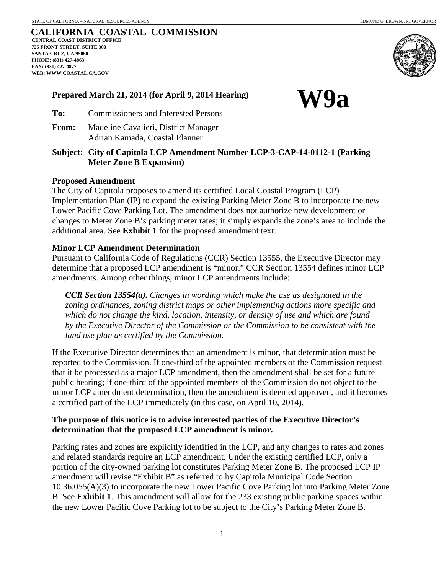**W9a**



## **Prepared March 21, 2014 (for April 9, 2014 Hearing)**

- **To:** Commissioners and Interested Persons
- **From:** Madeline Cavalieri, District Manager Adrian Kamada, Coastal Planner
- **Subject: City of Capitola LCP Amendment Number LCP-3-CAP-14-0112-1 (Parking Meter Zone B Expansion)**

#### **Proposed Amendment**

The City of Capitola proposes to amend its certified Local Coastal Program (LCP) Implementation Plan (IP) to expand the existing Parking Meter Zone B to incorporate the new Lower Pacific Cove Parking Lot. The amendment does not authorize new development or changes to Meter Zone B's parking meter rates; it simply expands the zone's area to include the additional area. See **Exhibit 1** for the proposed amendment text.

#### **Minor LCP Amendment Determination**

Pursuant to California Code of Regulations (CCR) Section 13555, the Executive Director may determine that a proposed LCP amendment is "minor." CCR Section 13554 defines minor LCP amendments. Among other things, minor LCP amendments include:

*CCR Section 13554(a). Changes in wording which make the use as designated in the zoning ordinances, zoning district maps or other implementing actions more specific and which do not change the kind, location, intensity, or density of use and which are found by the Executive Director of the Commission or the Commission to be consistent with the land use plan as certified by the Commission.* 

If the Executive Director determines that an amendment is minor, that determination must be reported to the Commission. If one-third of the appointed members of the Commission request that it be processed as a major LCP amendment, then the amendment shall be set for a future public hearing; if one-third of the appointed members of the Commission do not object to the minor LCP amendment determination, then the amendment is deemed approved, and it becomes a certified part of the LCP immediately (in this case, on April 10, 2014).

#### **The purpose of this notice is to advise interested parties of the Executive Director's determination that the proposed LCP amendment is minor.**

Parking rates and zones are explicitly identified in the LCP, and any changes to rates and zones and related standards require an LCP amendment. Under the existing certified LCP, only a portion of the city-owned parking lot constitutes Parking Meter Zone B. The proposed LCP IP amendment will revise "Exhibit B" as referred to by Capitola Municipal Code Section 10.36.055(A)(3) to incorporate the new Lower Pacific Cove Parking lot into Parking Meter Zone B. See **Exhibit 1**. This amendment will allow for the 233 existing public parking spaces within the new Lower Pacific Cove Parking lot to be subject to the City's Parking Meter Zone B.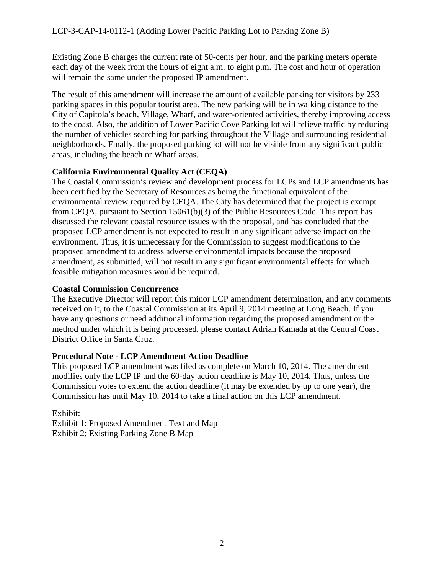Existing Zone B charges the current rate of 50-cents per hour, and the parking meters operate each day of the week from the hours of eight a.m. to eight p.m. The cost and hour of operation will remain the same under the proposed IP amendment.

The result of this amendment will increase the amount of available parking for visitors by 233 parking spaces in this popular tourist area. The new parking will be in walking distance to the City of Capitola's beach, Village, Wharf, and water-oriented activities, thereby improving access to the coast. Also, the addition of Lower Pacific Cove Parking lot will relieve traffic by reducing the number of vehicles searching for parking throughout the Village and surrounding residential neighborhoods. Finally, the proposed parking lot will not be visible from any significant public areas, including the beach or Wharf areas.

## **California Environmental Quality Act (CEQA)**

The Coastal Commission's review and development process for LCPs and LCP amendments has been certified by the Secretary of Resources as being the functional equivalent of the environmental review required by CEQA. The City has determined that the project is exempt from CEQA, pursuant to Section 15061(b)(3) of the Public Resources Code. This report has discussed the relevant coastal resource issues with the proposal, and has concluded that the proposed LCP amendment is not expected to result in any significant adverse impact on the environment. Thus, it is unnecessary for the Commission to suggest modifications to the proposed amendment to address adverse environmental impacts because the proposed amendment, as submitted, will not result in any significant environmental effects for which feasible mitigation measures would be required.

## **Coastal Commission Concurrence**

The Executive Director will report this minor LCP amendment determination, and any comments received on it, to the Coastal Commission at its April 9, 2014 meeting at Long Beach. If you have any questions or need additional information regarding the proposed amendment or the method under which it is being processed, please contact Adrian Kamada at the Central Coast District Office in Santa Cruz.

## **Procedural Note - LCP Amendment Action Deadline**

This proposed LCP amendment was filed as complete on March 10, 2014. The amendment modifies only the LCP IP and the 60-day action deadline is May 10, 2014. Thus, unless the Commission votes to extend the action deadline (it may be extended by up to one year), the Commission has until May 10, 2014 to take a final action on this LCP amendment.

Exhibit: Exhibit 1: Proposed Amendment Text and Map Exhibit 2: Existing Parking Zone B Map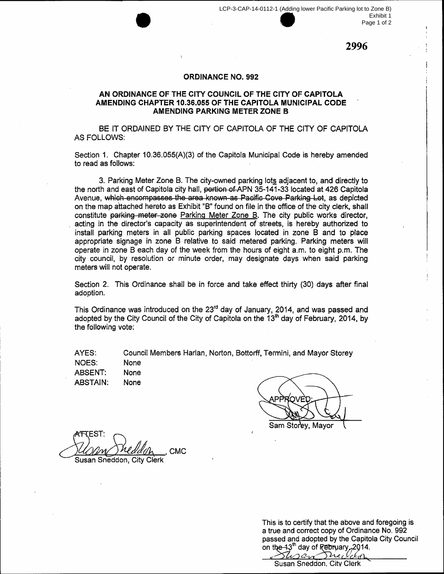2996

#### **ORDINANCE NO. 992**

#### AN ORDINANCE OF THE CITY COUNCIL OF THE CITY OF CAPITOLA AMENDING CHAPTER 10.36.055 OF THE CAPITOLA MUNICIPAL CODE **AMENDING PARKING METER ZONE B**

BE IT ORDAINED BY THE CITY OF CAPITOLA OF THE CITY OF CAPITOLA **AS FOLLOWS:** 

Section 1. Chapter 10.36.055(A)(3) of the Capitola Municipal Code is hereby amended to read as follows:

3. Parking Meter Zone B. The city-owned parking lots adjacent to, and directly to the north and east of Capitola city hall, portion of APN 35-141-33 located at 426 Capitola Avenue, which encompasses the area known as Pacific Cove Parking Let, as depicted on the map attached hereto as Exhibit "B" found on file in the office of the city clerk, shall constitute parking meter zone Parking Meter Zone B. The city public works director, acting in the director's capacity as superintendent of streets, is hereby authorized to install parking meters in all public parking spaces located in zone B and to place appropriate signage in zone B relative to said metered parking. Parking meters will operate in zone B each day of the week from the hours of eight a.m. to eight p.m. The city council, by resolution or minute order, may designate days when said parking meters will not operate.

Section 2. This Ordinance shall be in force and take effect thirty (30) days after final adoption.

This Ordinance was introduced on the  $23^{rd}$  day of January, 2014, and was passed and adopted by the City Council of the City of Capitola on the 13<sup>th</sup> day of February, 2014, by the following vote:

Council Members Harlan, Norton, Bottorff, Termini, and Mayor Storey

**NOES:** None **ABSENT:** None **ABSTAIN:** None

AYES:

Sam Storey, Mayor

ΈSΤ· **CMC** 

Susan Sneddon, City Clerk

This is to certify that the above and foregoing is a true and correct copy of Ordinance No. 992 passed and adopted by the Capitola City Council on the 43<sup>th</sup> day of Rebruary<sub>22014</sub>.

<u> wan Tue Van</u> Susan Sneddon, City Clerk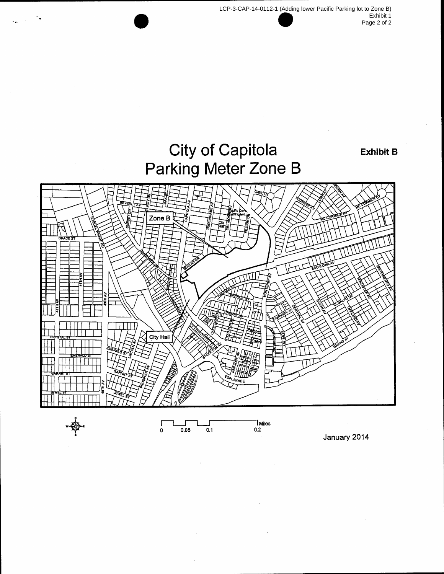

 $\ddot{\mathbf{o}}$  $0.05$   $\sqrt{\frac{1}{2}}$ Miles

 $\overline{0.1}$ 

January 2014